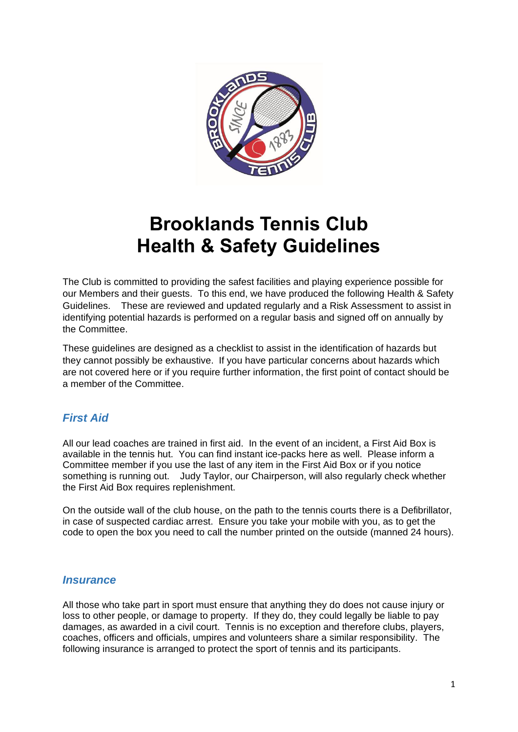

# **Brooklands Tennis Club Health & Safety Guidelines**

The Club is committed to providing the safest facilities and playing experience possible for our Members and their guests. To this end, we have produced the following Health & Safety Guidelines. These are reviewed and updated regularly and a Risk Assessment to assist in identifying potential hazards is performed on a regular basis and signed off on annually by the Committee.

These guidelines are designed as a checklist to assist in the identification of hazards but they cannot possibly be exhaustive. If you have particular concerns about hazards which are not covered here or if you require further information, the first point of contact should be a member of the Committee.

# *First Aid*

All our lead coaches are trained in first aid. In the event of an incident, a First Aid Box is available in the tennis hut. You can find instant ice-packs here as well. Please inform a Committee member if you use the last of any item in the First Aid Box or if you notice something is running out. Judy Taylor, our Chairperson, will also regularly check whether the First Aid Box requires replenishment.

On the outside wall of the club house, on the path to the tennis courts there is a Defibrillator, in case of suspected cardiac arrest. Ensure you take your mobile with you, as to get the code to open the box you need to call the number printed on the outside (manned 24 hours).

#### *Insurance*

All those who take part in sport must ensure that anything they do does not cause injury or loss to other people, or damage to property. If they do, they could legally be liable to pay damages, as awarded in a civil court. Tennis is no exception and therefore clubs, players, coaches, officers and officials, umpires and volunteers share a similar responsibility. The following insurance is arranged to protect the sport of tennis and its participants.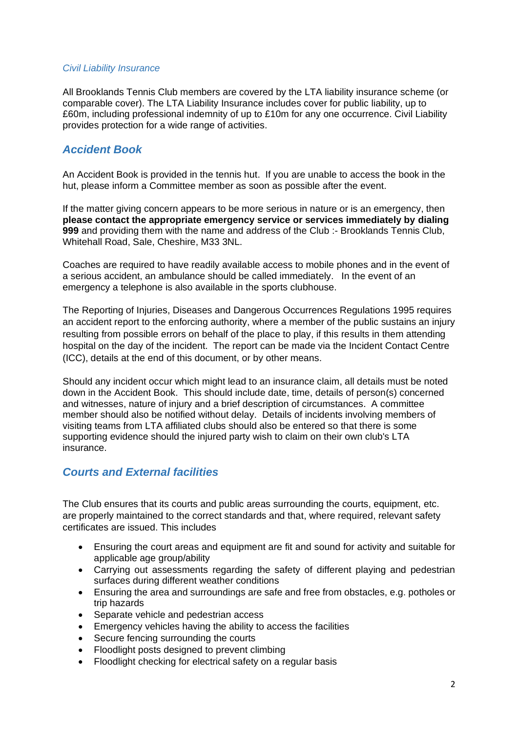#### *Civil Liability Insurance*

All Brooklands Tennis Club members are covered by the LTA liability insurance scheme (or comparable cover). The LTA Liability Insurance includes cover for public liability, up to £60m, including professional indemnity of up to £10m for any one occurrence. Civil Liability provides protection for a wide range of activities.

### *Accident Book*

An Accident Book is provided in the tennis hut. If you are unable to access the book in the hut, please inform a Committee member as soon as possible after the event.

If the matter giving concern appears to be more serious in nature or is an emergency, then **please contact the appropriate emergency service or services immediately by dialing 999** and providing them with the name and address of the Club :- Brooklands Tennis Club, Whitehall Road, Sale, Cheshire, M33 3NL.

Coaches are required to have readily available access to mobile phones and in the event of a serious accident, an ambulance should be called immediately. In the event of an emergency a telephone is also available in the sports clubhouse.

The Reporting of Injuries, Diseases and Dangerous Occurrences Regulations 1995 requires an accident report to the enforcing authority, where a member of the public sustains an injury resulting from possible errors on behalf of the place to play, if this results in them attending hospital on the day of the incident. The report can be made via the Incident Contact Centre (ICC), details at the end of this document, or by other means.

Should any incident occur which might lead to an insurance claim, all details must be noted down in the Accident Book. This should include date, time, details of person(s) concerned and witnesses, nature of injury and a brief description of circumstances. A committee member should also be notified without delay. Details of incidents involving members of visiting teams from LTA affiliated clubs should also be entered so that there is some supporting evidence should the injured party wish to claim on their own club's LTA insurance.

#### *Courts and External facilities*

The Club ensures that its courts and public areas surrounding the courts, equipment, etc. are properly maintained to the correct standards and that, where required, relevant safety certificates are issued. This includes

- Ensuring the court areas and equipment are fit and sound for activity and suitable for applicable age group/ability
- Carrying out assessments regarding the safety of different playing and pedestrian surfaces during different weather conditions
- Ensuring the area and surroundings are safe and free from obstacles, e.g. potholes or trip hazards
- Separate vehicle and pedestrian access
- Emergency vehicles having the ability to access the facilities
- Secure fencing surrounding the courts
- Floodlight posts designed to prevent climbing
- Floodlight checking for electrical safety on a regular basis